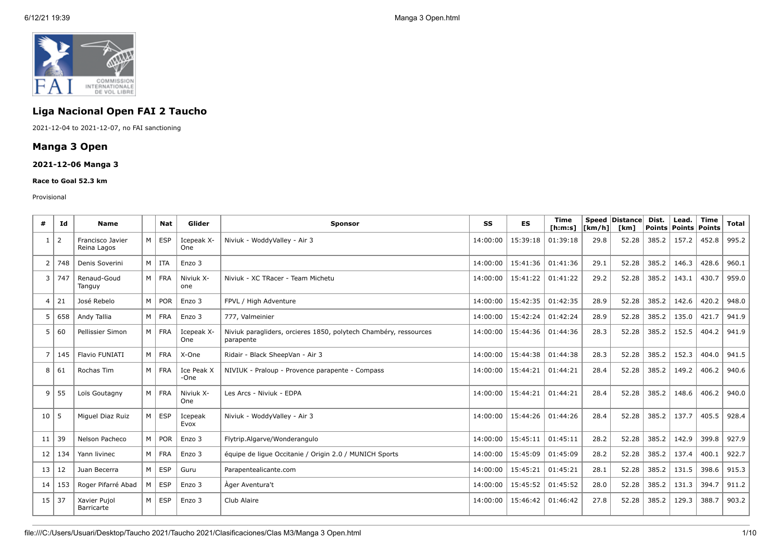

# **Liga Nacional Open FAI 2 Taucho**

2021-12-04 to 2021-12-07, no FAI sanctioning

## **Manga 3 Open**

## **2021-12-06 Manga 3**

#### **Race to Goal 52.3 km**

#### Provisional

| #                       | Ιd             | <b>Name</b>                     |                | Nat           | Glider             | <b>Sponsor</b>                                                                | SS       | <b>ES</b> | <b>Time</b><br>[ <b>h</b> : <b>m</b> : <b>s</b> ] | <b>Speed</b><br>[km/h] | Distance<br>[km] | Dist.<br>Points | Lead.<br>Points | <b>Time</b><br>Points | <b>Total</b> |
|-------------------------|----------------|---------------------------------|----------------|---------------|--------------------|-------------------------------------------------------------------------------|----------|-----------|---------------------------------------------------|------------------------|------------------|-----------------|-----------------|-----------------------|--------------|
| $\mathbf{1}$            | $\overline{2}$ | Francisco Javier<br>Reina Lagos | M <sub>1</sub> | <b>ESP</b>    | Icepeak X-<br>One  | Niviuk - WoddyValley - Air 3                                                  | 14:00:00 | 15:39:18  | 01:39:18                                          | 29.8                   | 52.28            | 385.2           | 157.2           | 452.8                 | 995.2        |
| 2                       | 748            | Denis Soverini                  |                | M I ITA       | Enzo 3             |                                                                               | 14:00:00 | 15:41:36  | 01:41:36                                          | 29.1                   | 52.28            | 385.2           | 146.3           | 428.6                 | 960.1        |
| 3                       | 747            | Renaud-Goud<br>Tanguy           |                | M FRA         | Niviuk X-<br>one   | Niviuk - XC TRacer - Team Michetu                                             | 14:00:00 | 15:41:22  | 01:41:22                                          | 29.2                   | 52.28            | 385.2           | 143.1           | 430.7                 | 959.0        |
| $\overline{\mathbf{4}}$ | 21             | José Rebelo                     |                | $M \vert POR$ | Enzo 3             | FPVL / High Adventure                                                         | 14:00:00 | 15:42:35  | 01:42:35                                          | 28.9                   | 52.28            | 385.2           | 142.6           | 420.2                 | 948.0        |
| 5                       | 658            | Andy Tallia                     |                | M   FRA       | Enzo 3             | 777, Valmeinier                                                               | 14:00:00 | 15:42:24  | 01:42:24                                          | 28.9                   | 52.28            | 385.2           | 135.0           | 421.7                 | 941.9        |
| 5                       | 60             | Pellissier Simon                |                | M   FRA       | Icepeak X-<br>One  | Niviuk paragliders, orcieres 1850, polytech Chambéry, ressources<br>parapente | 14:00:00 | 15:44:36  | 01:44:36                                          | 28.3                   | 52.28            | 385.2           | 152.5           | 404.2                 | 941.9        |
| 7                       | 145            | Flavio FUNIATI                  |                | M FRA         | X-One              | Ridair - Black SheepVan - Air 3                                               | 14:00:00 | 15:44:38  | 01:44:38                                          | 28.3                   | 52.28            | 385.2           | 152.3           | 404.0                 | 941.5        |
| 8                       | 61             | Rochas Tim                      |                | M   FRA       | Ice Peak X<br>-One | NIVIUK - Praloup - Provence parapente - Compass                               | 14:00:00 | 15:44:21  | 01:44:21                                          | 28.4                   | 52.28            | 385.2           | 149.2           | 406.2                 | 940.6        |
| 9                       | 55             | Loïs Goutagny                   |                | M FRA         | Niviuk X-<br>One   | Les Arcs - Niviuk - EDPA                                                      | 14:00:00 | 15:44:21  | 01:44:21                                          | 28.4                   | 52.28            | 385.2           | 148.6           | 406.2                 | 940.0        |
| 10                      | l 5            | Miquel Diaz Ruiz                | M <sub>1</sub> | <b>ESP</b>    | Icepeak<br>Evox    | Niviuk - WoddyValley - Air 3                                                  | 14:00:00 | 15:44:26  | 01:44:26                                          | 28.4                   | 52.28            | 385.2           | 137.7           | 405.5                 | 928.4        |
| 11                      | 39             | Nelson Pacheco                  | $M \mid$       | POR           | Enzo 3             | Flytrip.Algarve/Wonderangulo                                                  | 14:00:00 | 15:45:11  | 01:45:11                                          | 28.2                   | 52.28            | 385.2           | 142.9           | 399.8                 | 927.9        |
| 12                      | 134            | Yann livinec                    |                | M   FRA       | Enzo 3             | équipe de lique Occitanie / Origin 2.0 / MUNICH Sports                        | 14:00:00 | 15:45:09  | 01:45:09                                          | 28.2                   | 52.28            | 385.2           | 137.4           | 400.1                 | 922.7        |
| 13                      | 12             | Juan Becerra                    | M <sub>1</sub> | <b>ESP</b>    | Guru               | Parapentealicante.com                                                         | 14:00:00 | 15:45:21  | 01:45:21                                          | 28.1                   | 52.28            | 385.2           | 131.5           | 398.6                 | 915.3        |
| 14                      | 153            | Roger Pifarré Abad              | M <sub>1</sub> | ESP           | Enzo 3             | Ager Aventura't                                                               | 14:00:00 | 15:45:52  | 01:45:52                                          | 28.0                   | 52.28            | 385.2           | 131.3           | 394.7                 | 911.2        |
| 15                      | 37             | Xavier Pujol<br>Barricarte      | M <sub>1</sub> | <b>ESP</b>    | Enzo 3             | Club Alaire                                                                   | 14:00:00 | 15:46:42  | 01:46:42                                          | 27.8                   | 52.28            | 385.2           | 129.3           | 388.7                 | 903.2        |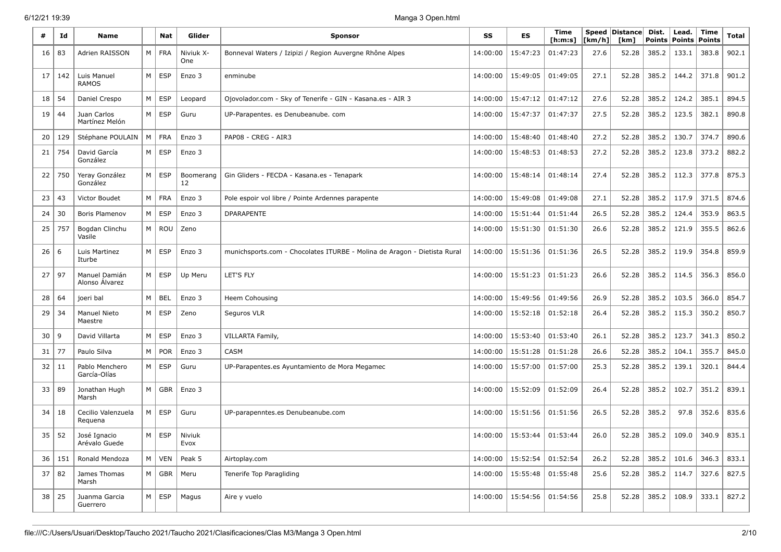| #  | Id  | <b>Name</b>                     |          | Nat           | Glider           | <b>Sponsor</b>                                                           | SS       | <b>ES</b> | Time<br>[ <b>h</b> : <b>m</b> : <b>s</b> ] | [km/h] | Speed Distance<br>[km] | Dist.<br><b>Points</b> | Lead.<br><b>Points</b> | Time<br>Points | <b>Total</b> |
|----|-----|---------------------------------|----------|---------------|------------------|--------------------------------------------------------------------------|----------|-----------|--------------------------------------------|--------|------------------------|------------------------|------------------------|----------------|--------------|
| 16 | 83  | Adrien RAISSON                  | M        | <b>FRA</b>    | Niviuk X-<br>One | Bonneval Waters / Izipizi / Region Auvergne Rhône Alpes                  | 14:00:00 | 15:47:23  | 01:47:23                                   | 27.6   | 52.28                  | 385.2                  | 133.1                  | 383.8          | 902.1        |
| 17 | 142 | Luis Manuel<br><b>RAMOS</b>     | M        | <b>ESP</b>    | Enzo 3           | enminube                                                                 | 14:00:00 | 15:49:05  | 01:49:05                                   | 27.1   | 52.28                  | 385.2                  | 144.2                  | 371.8          | 901.2        |
| 18 | 54  | Daniel Crespo                   | М        | <b>ESP</b>    | Leopard          | Ojovolador.com - Sky of Tenerife - GIN - Kasana.es - AIR 3               | 14:00:00 | 15:47:12  | 01:47:12                                   | 27.6   | 52.28                  | 385.2                  | 124.2                  | 385.1          | 894.5        |
| 19 | 44  | Juan Carlos<br>Martínez Melón   | M        | <b>ESP</b>    | Guru             | UP-Parapentes. es Denubeanube. com                                       | 14:00:00 | 15:47:37  | 01:47:37                                   | 27.5   | 52.28                  | 385.2                  | 123.5                  | 382.1          | 890.8        |
| 20 | 129 | Stéphane POULAIN                | M        | <b>FRA</b>    | Enzo 3           | PAP08 - CREG - AIR3                                                      | 14:00:00 | 15:48:40  | 01:48:40                                   | 27.2   | 52.28                  | 385.2                  | 130.7                  | 374.7          | 890.6        |
| 21 | 754 | David García<br>González        | M        | <b>ESP</b>    | Enzo 3           |                                                                          | 14:00:00 | 15:48:53  | 01:48:53                                   | 27.2   | 52.28                  | 385.2                  | 123.8                  | 373.2          | 882.2        |
| 22 | 750 | Yeray González<br>González      | M        | <b>ESP</b>    | Boomerang<br>12  | Gin Gliders - FECDA - Kasana.es - Tenapark                               | 14:00:00 | 15:48:14  | 01:48:14                                   | 27.4   | 52.28                  | 385.2                  | 112.3                  | 377.8          | 875.3        |
| 23 | 43  | Victor Boudet                   | M        | <b>FRA</b>    | Enzo 3           | Pole espoir vol libre / Pointe Ardennes parapente                        | 14:00:00 | 15:49:08  | 01:49:08                                   | 27.1   | 52.28                  | 385.2                  | 117.9                  | 371.5          | 874.6        |
| 24 | 30  | Boris Plamenov                  | M        | <b>ESP</b>    | Enzo 3           | <b>DPARAPENTE</b>                                                        | 14:00:00 | 15:51:44  | 01:51:44                                   | 26.5   | 52.28                  | 385.2                  | 124.4                  | 353.9          | 863.5        |
| 25 | 757 | Bogdan Clinchu<br>Vasile        | M        | <b>ROU</b>    | Zeno             |                                                                          | 14:00:00 | 15:51:30  | 01:51:30                                   | 26.6   | 52.28                  | 385.2                  | 121.9                  | 355.5          | 862.6        |
| 26 | -6  | Luis Martinez<br>Iturbe         | M        | <b>ESP</b>    | Enzo 3           | munichsports.com - Chocolates ITURBE - Molina de Aragon - Dietista Rural | 14:00:00 | 15:51:36  | 01:51:36                                   | 26.5   | 52.28                  | 385.2                  | 119.9                  | 354.8          | 859.9        |
| 27 | 97  | Manuel Damián<br>Alonso Álvarez | M        | <b>ESP</b>    | Up Meru          | LET'S FLY                                                                | 14:00:00 | 15:51:23  | 01:51:23                                   | 26.6   | 52.28                  | 385.2                  | 114.5                  | 356.3          | 856.0        |
| 28 | 64  | joeri bal                       | M        | <b>BEL</b>    | Enzo 3           | Heem Cohousing                                                           | 14:00:00 | 15:49:56  | 01:49:56                                   | 26.9   | 52.28                  | 385.2                  | 103.5                  | 366.0          | 854.7        |
| 29 | 34  | <b>Manuel Nieto</b><br>Maestre  | M        | ESP           | Zeno             | Seguros VLR                                                              | 14:00:00 | 15:52:18  | 01:52:18                                   | 26.4   | 52.28                  | 385.2                  | 115.3                  | 350.2          | 850.7        |
| 30 | 9   | David Villarta                  | M        | <b>ESP</b>    | Enzo 3           | VILLARTA Family,                                                         | 14:00:00 | 15:53:40  | 01:53:40                                   | 26.1   | 52.28                  | 385.2                  | 123.7                  | 341.3          | 850.2        |
| 31 | 77  | Paulo Silva                     | M        | <b>POR</b>    | Enzo 3           | <b>CASM</b>                                                              | 14:00:00 | 15:51:28  | 01:51:28                                   | 26.6   | 52.28                  | 385.2                  | 104.1                  | 355.7          | 845.0        |
| 32 | 11  | Pablo Menchero<br>García-Olías  | M        | <b>ESP</b>    | Guru             | UP-Parapentes.es Ayuntamiento de Mora Megamec                            | 14:00:00 | 15:57:00  | 01:57:00                                   | 25.3   | 52.28                  | 385.2                  | 139.1                  | 320.1          | 844.4        |
| 33 | 89  | Jonathan Hugh<br>Marsh          | $M \mid$ | GBR           | Enzo 3           |                                                                          | 14:00:00 | 15:52:09  | 01:52:09                                   | 26.4   | 52.28                  | 385.2                  | 102.7                  | 351.2          | 839.1        |
| 34 | 18  | Cecilio Valenzuela<br>Requena   | M        | <b>ESP</b>    | Guru             | UP-parapenntes.es Denubeanube.com                                        | 14:00:00 | 15:51:56  | 01:51:56                                   | 26.5   | 52.28                  | 385.2                  | 97.8                   | 352.6          | 835.6        |
| 35 | 52  | José Ignacio<br>Arévalo Guede   | M        | ESP           | Niviuk<br>Evox   |                                                                          | 14:00:00 | 15:53:44  | 01:53:44                                   | 26.0   | 52.28                  | 385.2                  | 109.0                  | 340.9          | 835.1        |
| 36 | 151 | Ronald Mendoza                  | M        | VEN           | Peak 5           | Airtoplay.com                                                            | 14:00:00 | 15:52:54  | 01:52:54                                   | 26.2   | 52.28                  | 385.2                  | 101.6                  | 346.3          | 833.1        |
| 37 | 82  | James Thomas<br>Marsh           |          | M   GBR       | Meru             | Tenerife Top Paragliding                                                 | 14:00:00 | 15:55:48  | 01:55:48                                   | 25.6   | 52.28                  | 385.2                  | 114.7                  | 327.6          | 827.5        |
| 38 | 25  | Juanma Garcia<br>Guerrero       |          | $M \vert$ ESP | Magus            | Aire y vuelo                                                             | 14:00:00 | 15:54:56  | 01:54:56                                   | 25.8   | 52.28                  | 385.2                  | 108.9                  | 333.1          | 827.2        |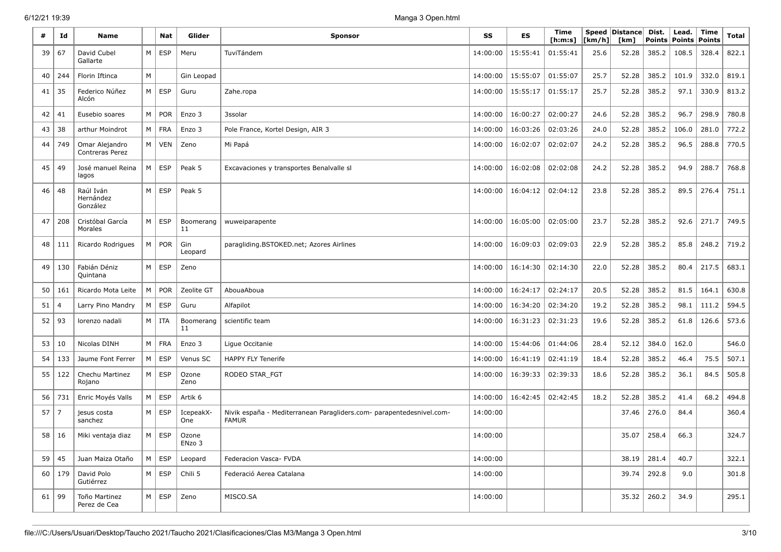| #  | Id  | Name                                     |   | Nat        | Glider           | Sponsor                                                                              | SS       | ES       | Time<br>[h:m:s] | [km/h] | Speed   Distance  <br>[km] | Dist.<br><b>Points</b> | Lead.<br><b>Points</b> | Time<br><b>Points</b> | Total |
|----|-----|------------------------------------------|---|------------|------------------|--------------------------------------------------------------------------------------|----------|----------|-----------------|--------|----------------------------|------------------------|------------------------|-----------------------|-------|
| 39 | 67  | David Cubel<br>Gallarte                  | M | <b>ESP</b> | Meru             | TuviTándem                                                                           | 14:00:00 | 15:55:41 | 01:55:41        | 25.6   | 52.28                      | 385.2                  | 108.5                  | 328.4                 | 822.1 |
| 40 | 244 | Florin Iftinca                           | М |            | Gin Leopad       |                                                                                      | 14:00:00 | 15:55:07 | 01:55:07        | 25.7   | 52.28                      | 385.2                  | 101.9                  | 332.0                 | 819.1 |
| 41 | 35  | Federico Núñez<br>Alcón                  | M | <b>ESP</b> | Guru             | Zahe.ropa                                                                            | 14:00:00 | 15:55:17 | 01:55:17        | 25.7   | 52.28                      | 385.2                  | 97.1                   | 330.9                 | 813.2 |
| 42 | 41  | Eusebio soares                           | M | <b>POR</b> | Enzo 3           | 3ssolar                                                                              | 14:00:00 | 16:00:27 | 02:00:27        | 24.6   | 52.28                      | 385.2                  | 96.7                   | 298.9                 | 780.8 |
| 43 | 38  | arthur Moindrot                          | М | <b>FRA</b> | Enzo 3           | Pole France, Kortel Design, AIR 3                                                    | 14:00:00 | 16:03:26 | 02:03:26        | 24.0   | 52.28                      | 385.2                  | 106.0                  | 281.0                 | 772.2 |
| 44 | 749 | Omar Alejandro<br><b>Contreras Perez</b> | M | <b>VEN</b> | Zeno             | Mi Papá                                                                              | 14:00:00 | 16:02:07 | 02:02:07        | 24.2   | 52.28                      | 385.2                  | 96.5                   | 288.8                 | 770.5 |
| 45 | 49  | José manuel Reina<br>lagos               | М | <b>ESP</b> | Peak 5           | Excavaciones y transportes Benalvalle sl                                             | 14:00:00 | 16:02:08 | 02:02:08        | 24.2   | 52.28                      | 385.2                  | 94.9                   | 288.7                 | 768.8 |
| 46 | 48  | Raúl Iván<br>Hernández<br>González       | M | <b>ESP</b> | Peak 5           |                                                                                      | 14:00:00 | 16:04:12 | 02:04:12        | 23.8   | 52.28                      | 385.2                  | 89.5                   | 276.4                 | 751.1 |
| 47 | 208 | Cristóbal García<br>Morales              | M | <b>ESP</b> | Boomerang<br>11  | wuweiparapente                                                                       | 14:00:00 | 16:05:00 | 02:05:00        | 23.7   | 52.28                      | 385.2                  | 92.6                   | 271.7                 | 749.5 |
| 48 | 111 | Ricardo Rodrigues                        | M | POR        | Gin<br>Leopard   | paragliding.BSTOKED.net; Azores Airlines                                             | 14:00:00 | 16:09:03 | 02:09:03        | 22.9   | 52.28                      | 385.2                  | 85.8                   | 248.2                 | 719.2 |
| 49 | 130 | Fabián Déniz<br>Quintana                 | M | <b>ESP</b> | Zeno             |                                                                                      | 14:00:00 | 16:14:30 | 02:14:30        | 22.0   | 52.28                      | 385.2                  | 80.4                   | 217.5                 | 683.1 |
| 50 | 161 | Ricardo Mota Leite                       | М | <b>POR</b> | Zeolite GT       | AbouaAboua                                                                           | 14:00:00 | 16:24:17 | 02:24:17        | 20.5   | 52.28                      | 385.2                  | 81.5                   | 164.1                 | 630.8 |
| 51 |     | Larry Pino Mandry                        | M | <b>ESP</b> | Guru             | Alfapilot                                                                            | 14:00:00 | 16:34:20 | 02:34:20        | 19.2   | 52.28                      | 385.2                  | 98.1                   | 111.2                 | 594.5 |
| 52 | 93  | lorenzo nadali                           | M | ITA        | Boomerang<br>11  | scientific team                                                                      | 14:00:00 | 16:31:23 | 02:31:23        | 19.6   | 52.28                      | 385.2                  | 61.8                   | 126.6                 | 573.6 |
| 53 | 10  | Nicolas DINH                             | M | <b>FRA</b> | Enzo 3           | Ligue Occitanie                                                                      | 14:00:00 | 15:44:06 | 01:44:06        | 28.4   | 52.12                      | 384.0                  | 162.0                  |                       | 546.0 |
| 54 | 133 | Jaume Font Ferrer                        | M | <b>ESP</b> | Venus SC         | <b>HAPPY FLY Tenerife</b>                                                            | 14:00:00 | 16:41:19 | 02:41:19        | 18.4   | 52.28                      | 385.2                  | 46.4                   | 75.5                  | 507.1 |
| 55 | 122 | Chechu Martinez<br>Rojano                | M | <b>ESP</b> | Ozone<br>Zeno    | RODEO STAR_FGT                                                                       | 14:00:00 | 16:39:33 | 02:39:33        | 18.6   | 52.28                      | 385.2                  | 36.1                   | 84.5                  | 505.8 |
| 56 | 731 | Enric Moyés Valls                        | M | <b>ESP</b> | Artik 6          |                                                                                      | 14:00:00 | 16:42:45 | 02:42:45        | 18.2   | 52.28                      | 385.2                  | 41.4                   | 68.2                  | 494.8 |
| 57 | 7   | jesus costa<br>sanchez                   | М | <b>ESP</b> | IcepeakX-<br>One | Nivik españa - Mediterranean Paragliders.com- parapentedesnivel.com-<br><b>FAMUR</b> | 14:00:00 |          |                 |        | 37.46                      | 276.0                  | 84.4                   |                       | 360.4 |
| 58 | 16  | Miki ventaja diaz                        | M | <b>ESP</b> | Ozone<br>ENzo 3  |                                                                                      | 14:00:00 |          |                 |        | 35.07                      | 258.4                  | 66.3                   |                       | 324.7 |
| 59 | 45  | Juan Maiza Otaño                         | M | ESP        | Leopard          | Federacion Vasca- FVDA                                                               | 14:00:00 |          |                 |        | 38.19                      | 281.4                  | 40.7                   |                       | 322.1 |
| 60 | 179 | David Polo<br>Gutiérrez                  | M | ESP        | Chili 5          | Federació Aerea Catalana                                                             | 14:00:00 |          |                 |        | 39.74                      | 292.8                  | 9.0                    |                       | 301.8 |
| 61 | 99  | Toño Martinez<br>Perez de Cea            | M | ESP        | Zeno             | MISCO.SA                                                                             | 14:00:00 |          |                 |        | 35.32                      | 260.2                  | 34.9                   |                       | 295.1 |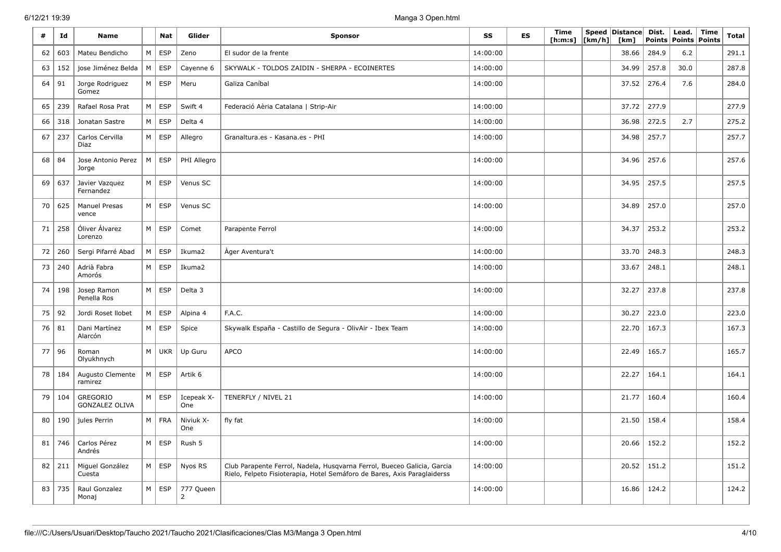| #  | Id  | <b>Name</b>                              |           | <b>Nat</b> | Glider            | <b>Sponsor</b>                                                                                                                                      | SS       | <b>ES</b> | Time<br>[ <b>h</b> : <b>m</b> : <b>s</b> ] | [km/h] | Speed Distance<br>[km] | Dist. | Lead.<br>Points   Points   Points | Time | <b>Total</b> |
|----|-----|------------------------------------------|-----------|------------|-------------------|-----------------------------------------------------------------------------------------------------------------------------------------------------|----------|-----------|--------------------------------------------|--------|------------------------|-------|-----------------------------------|------|--------------|
| 62 | 603 | Mateu Bendicho                           | M         | ESP        | Zeno              | El sudor de la frente                                                                                                                               | 14:00:00 |           |                                            |        | 38.66                  | 284.9 | 6.2                               |      | 291.1        |
| 63 | 152 | jose Jiménez Belda                       | M         | <b>ESP</b> | Cayenne 6         | SKYWALK - TOLDOS ZAIDIN - SHERPA - ECOINERTES                                                                                                       | 14:00:00 |           |                                            |        | 34.99                  | 257.8 | 30.0                              |      | 287.8        |
| 64 | 91  | Jorge Rodriguez<br>Gomez                 | M         | <b>ESP</b> | Meru              | Galiza Caníbal                                                                                                                                      | 14:00:00 |           |                                            |        | 37.52                  | 276.4 | 7.6                               |      | 284.0        |
| 65 | 239 | Rafael Rosa Prat                         | M         | <b>ESP</b> | Swift 4           | Federació Aèria Catalana   Strip-Air                                                                                                                | 14:00:00 |           |                                            |        | 37.72                  | 277.9 |                                   |      | 277.9        |
| 66 | 318 | Jonatan Sastre                           | M         | <b>ESP</b> | Delta 4           |                                                                                                                                                     | 14:00:00 |           |                                            |        | 36.98                  | 272.5 | 2.7                               |      | 275.2        |
| 67 | 237 | Carlos Cervilla<br>Diaz                  | M         | <b>ESP</b> | Allegro           | Granaltura.es - Kasana.es - PHI                                                                                                                     | 14:00:00 |           |                                            |        | 34.98                  | 257.7 |                                   |      | 257.7        |
| 68 | 84  | Jose Antonio Perez<br>Jorge              | M         | <b>ESP</b> | PHI Allegro       |                                                                                                                                                     | 14:00:00 |           |                                            |        | 34.96                  | 257.6 |                                   |      | 257.6        |
| 69 | 637 | Javier Vazquez<br>Fernandez              | M         | <b>ESP</b> | Venus SC          |                                                                                                                                                     | 14:00:00 |           |                                            |        | 34.95                  | 257.5 |                                   |      | 257.5        |
| 70 | 625 | Manuel Presas<br>vence                   | M         | ESP        | Venus SC          |                                                                                                                                                     | 14:00:00 |           |                                            |        | 34.89                  | 257.0 |                                   |      | 257.0        |
| 71 | 258 | Óliver Álvarez<br>Lorenzo                | M         | ESP        | Comet             | Parapente Ferrol                                                                                                                                    | 14:00:00 |           |                                            |        | 34.37                  | 253.2 |                                   |      | 253.2        |
| 72 | 260 | Sergi Pifarré Abad                       | M         | <b>ESP</b> | Ikuma2            | Ager Aventura't                                                                                                                                     | 14:00:00 |           |                                            |        | 33.70                  | 248.3 |                                   |      | 248.3        |
| 73 | 240 | Adrià Fabra<br>Amorós                    | M         | <b>ESP</b> | Ikuma2            |                                                                                                                                                     | 14:00:00 |           |                                            |        | 33.67                  | 248.1 |                                   |      | 248.1        |
| 74 | 198 | Josep Ramon<br>Penella Ros               | ${\sf M}$ | <b>ESP</b> | Delta 3           |                                                                                                                                                     | 14:00:00 |           |                                            |        | 32.27                  | 237.8 |                                   |      | 237.8        |
| 75 | 92  | Jordi Roset Ilobet                       | M         | ESP        | Alpina 4          | F.A.C.                                                                                                                                              | 14:00:00 |           |                                            |        | 30.27                  | 223.0 |                                   |      | 223.0        |
| 76 | 81  | Dani Martínez<br>Alarcón                 | M         | <b>ESP</b> | Spice             | Skywalk España - Castillo de Segura - OlivAir - Ibex Team                                                                                           | 14:00:00 |           |                                            |        | 22.70                  | 167.3 |                                   |      | 167.3        |
| 77 | 96  | Roman<br>Olyukhnych                      | ${\sf M}$ | <b>UKR</b> | Up Guru           | APCO                                                                                                                                                | 14:00:00 |           |                                            |        | 22.49                  | 165.7 |                                   |      | 165.7        |
| 78 | 184 | Augusto Clemente<br>ramirez              | M         | <b>ESP</b> | Artik 6           |                                                                                                                                                     | 14:00:00 |           |                                            |        | 22.27                  | 164.1 |                                   |      | 164.1        |
| 79 | 104 | <b>GREGORIO</b><br><b>GONZALEZ OLIVA</b> | M         | ESP        | Icepeak X-<br>One | TENERFLY / NIVEL 21                                                                                                                                 | 14:00:00 |           |                                            |        | 21.77                  | 160.4 |                                   |      | 160.4        |
| 80 | 190 | jules Perrin                             | M         | <b>FRA</b> | Niviuk X-<br>One  | fly fat                                                                                                                                             | 14:00:00 |           |                                            |        | 21.50                  | 158.4 |                                   |      | 158.4        |
| 81 | 746 | Carlos Pérez<br>Andrés                   | M         | <b>ESP</b> | Rush 5            |                                                                                                                                                     | 14:00:00 |           |                                            |        | 20.66                  | 152.2 |                                   |      | 152.2        |
| 82 | 211 | Miquel González<br>Cuesta                | M         | ESP        | Nyos RS           | Club Parapente Ferrol, Nadela, Husqvarna Ferrol, Bueceo Galicia, Garcia<br>Rielo, Felpeto Fisioterapia, Hotel Semáforo de Bares, Axis Paraglaiderss | 14:00:00 |           |                                            |        | 20.52                  | 151.2 |                                   |      | 151.2        |
| 83 | 735 | Raul Gonzalez<br>Monaj                   | M         | <b>ESP</b> | 777 Queen<br>2    |                                                                                                                                                     | 14:00:00 |           |                                            |        | 16.86                  | 124.2 |                                   |      | 124.2        |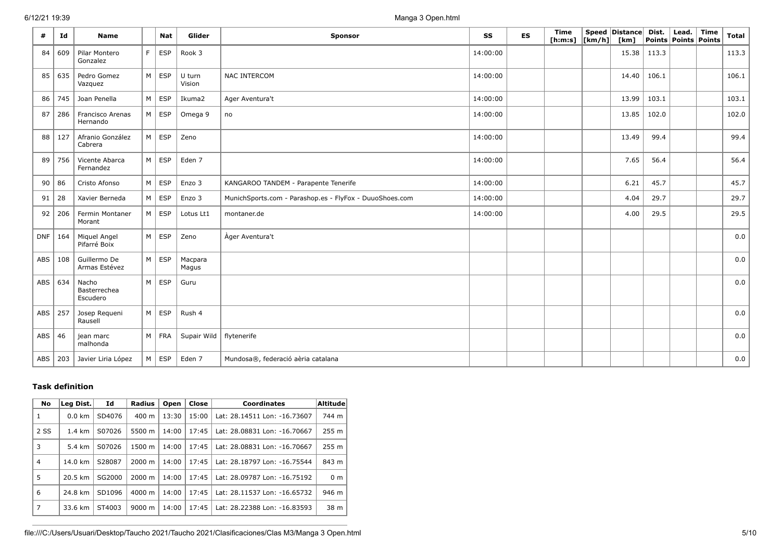| #          | Id  | <b>Name</b>                       |    | <b>Nat</b>    | Glider           | <b>Sponsor</b>                                          |          | <b>ES</b> | Time<br>[ h: m: s] | $\lfloor \lfloor km/h \rfloor \rfloor$ | Speed Distance Dist.<br>[km] |       | Lead.  <br>Points   Points   Points | Time | Total |
|------------|-----|-----------------------------------|----|---------------|------------------|---------------------------------------------------------|----------|-----------|--------------------|----------------------------------------|------------------------------|-------|-------------------------------------|------|-------|
| 84         | 609 | Pilar Montero<br>Gonzalez         | F. | <b>ESP</b>    | Rook 3           |                                                         | 14:00:00 |           |                    |                                        | $15.38$   113.3              |       |                                     |      | 113.3 |
| 85         | 635 | Pedro Gomez<br>Vazquez            |    | $M \vert ESP$ | U turn<br>Vision | NAC INTERCOM                                            | 14:00:00 |           |                    |                                        | 14.40                        | 106.1 |                                     |      | 106.1 |
| 86         | 745 | Joan Penella                      | M  | <b>ESP</b>    | Ikuma2           | Ager Aventura't                                         | 14:00:00 |           |                    |                                        | 13.99                        | 103.1 |                                     |      | 103.1 |
| 87         | 286 | Francisco Arenas<br>Hernando      |    | $M \vert$ ESP | Omega 9          | no                                                      | 14:00:00 |           |                    |                                        | 13.85                        | 102.0 |                                     |      | 102.0 |
| 88         | 127 | Afranio González<br>Cabrera       | M  | ESP           | Zeno             |                                                         | 14:00:00 |           |                    |                                        | 13.49                        | 99.4  |                                     |      | 99.4  |
| 89         | 756 | Vicente Abarca<br>Fernandez       |    | $M \vert ESP$ | Eden 7           |                                                         | 14:00:00 |           |                    |                                        | 7.65                         | 56.4  |                                     |      | 56.4  |
| 90         | 86  | Cristo Afonso                     |    | $M \vert$ ESP | Enzo 3           | KANGAROO TANDEM - Parapente Tenerife                    | 14:00:00 |           |                    |                                        | 6.21                         | 45.7  |                                     |      | 45.7  |
| 91         | 28  | Xavier Berneda                    |    | $M \vert$ ESP | Enzo 3           | MunichSports.com - Parashop.es - FlyFox - DuuoShoes.com | 14:00:00 |           |                    |                                        | 4.04                         | 29.7  |                                     |      | 29.7  |
| 92         | 206 | Fermin Montaner<br>Morant         |    | $M \vert ESP$ | Lotus Lt1        | montaner.de                                             | 14:00:00 |           |                    |                                        | 4.00                         | 29.5  |                                     |      | 29.5  |
| <b>DNF</b> | 164 | Miquel Angel<br>Pifarré Boix      |    | $M \vert$ ESP | Zeno             | Àger Aventura't                                         |          |           |                    |                                        |                              |       |                                     |      | 0.0   |
| ABS        | 108 | Guillermo De<br>Armas Estévez     |    | $M \vert ESP$ | Macpara<br>Magus |                                                         |          |           |                    |                                        |                              |       |                                     |      | 0.0   |
| ABS 634    |     | Nacho<br>Basterrechea<br>Escudero |    | $M \vert ESP$ | Guru             |                                                         |          |           |                    |                                        |                              |       |                                     |      | 0.0   |
| ABS        | 257 | Josep Requeni<br>Rausell          |    | $M \vert ESP$ | Rush 4           |                                                         |          |           |                    |                                        |                              |       |                                     |      | 0.0   |
| ABS $ 46$  |     | jean marc<br>malhonda             |    | $M$ FRA       | Supair Wild      | flytenerife                                             |          |           |                    |                                        |                              |       |                                     |      | 0.0   |
| ABS   203  |     | Javier Liria López                |    | $M \mid ESP$  | Eden 7           | Mundosa®, federació aèria catalana                      |          |           |                    |                                        |                              |       |                                     |      | 0.0   |

## **Task definition**

| <b>No</b> | Leg Dist.        | Id     | Radius             | Open  | Close | <b>Coordinates</b>           | <b>Altitude</b> |
|-----------|------------------|--------|--------------------|-------|-------|------------------------------|-----------------|
| 1         | $0.0 \text{ km}$ | SD4076 | 400 m              | 13:30 | 15:00 | Lat: 28.14511 Lon: -16.73607 | 744 m           |
| 2 SS      | $1.4 \text{ km}$ | S07026 | 5500 m             | 14:00 | 17:45 | Lat: 28.08831 Lon: -16.70667 | 255 m           |
| 3         | 5.4 km           | S07026 | 1500 m             | 14:00 | 17:45 | Lat: 28.08831 Lon: -16.70667 | 255 m           |
| 4         | 14.0 km          | S28087 | $2000 \; m$        | 14:00 | 17:45 | Lat: 28.18797 Lon: -16.75544 | 843 m           |
| 5         | 20.5 km          | SG2000 | $2000 \; m$        | 14:00 | 17:45 | Lat: 28.09787 Lon: -16.75192 | 0 <sub>m</sub>  |
| 6         | 24.8 km          | SD1096 | $4000 \; \text{m}$ | 14:00 | 17:45 | Lat: 28.11537 Lon: -16.65732 | 946 m           |
| 7         | 33.6 km          | ST4003 | 9000 m             | 14:00 | 17:45 | Lat: 28.22388 Lon: -16.83593 | 38 m            |

file:///C:/Users/Usuari/Desktop/Taucho 2021/Taucho 2021/Clasificaciones/Clas M3/Manga 3 Open.html 5/10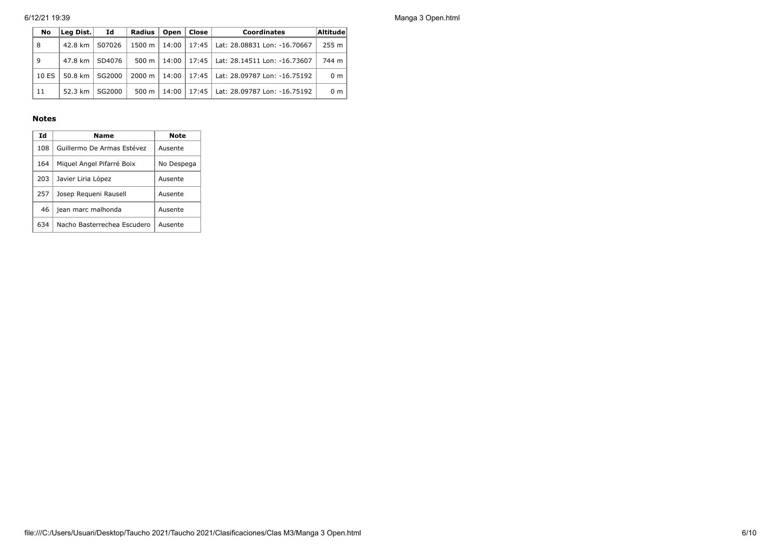| No    | Id<br>Lea Dist. |        | Close <b>l</b><br>Radius <b>I</b><br>Open<br><b>Coordinates</b> |       |  |                                              | Altitude |
|-------|-----------------|--------|-----------------------------------------------------------------|-------|--|----------------------------------------------|----------|
| 8     | 42.8 km         | S07026 | 1500 m l                                                        |       |  | 14:00   17:45   Lat: 28.08831 Lon: -16.70667 | $255$ m  |
| 9     | 47.8 km         | SD4076 | $500 \text{ m}$                                                 |       |  | 14:00   17:45   Lat: 28.14511 Lon: -16.73607 | 744 m    |
| 10 ES | 50.8 km $\vert$ | SG2000 | $2000 \text{ m}$                                                |       |  | 14:00   17:45   Lat: 28.09787 Lon: -16.75192 | 0 m      |
| 11    | 52.3 km         | SG2000 | 500 m                                                           | 14:00 |  | 17:45   Lat: 28.09787 Lon: -16.75192         | 0 m      |

### **Notes**

| Ιd  | Name                        | Note       |
|-----|-----------------------------|------------|
| 108 | Guillermo De Armas Estévez  | Ausente    |
| 164 | Miguel Angel Pifarré Boix   | No Despega |
| 203 | Javier Liria López          | Ausente    |
| 257 | Josep Requeni Rausell       | Ausente    |
| 46  | jean marc malhonda          | Ausente    |
| 634 | Nacho Basterrechea Escudero | Ausente    |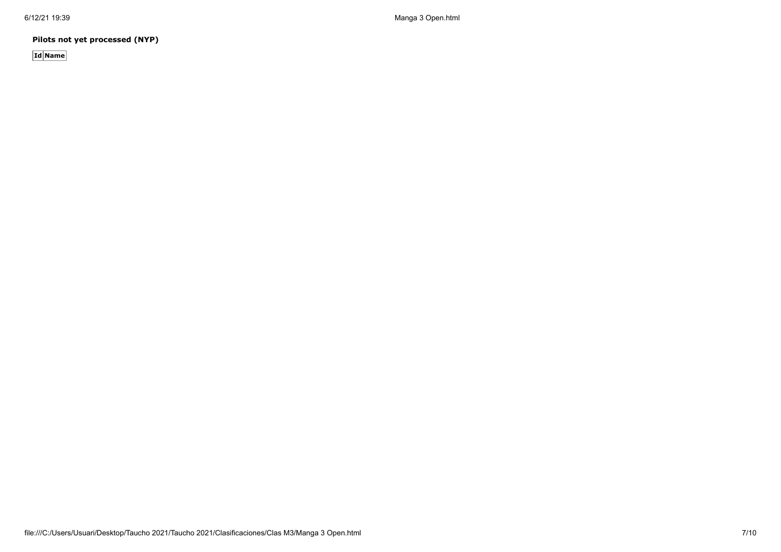**Pilots not yet processed (NYP)**

**Id Name**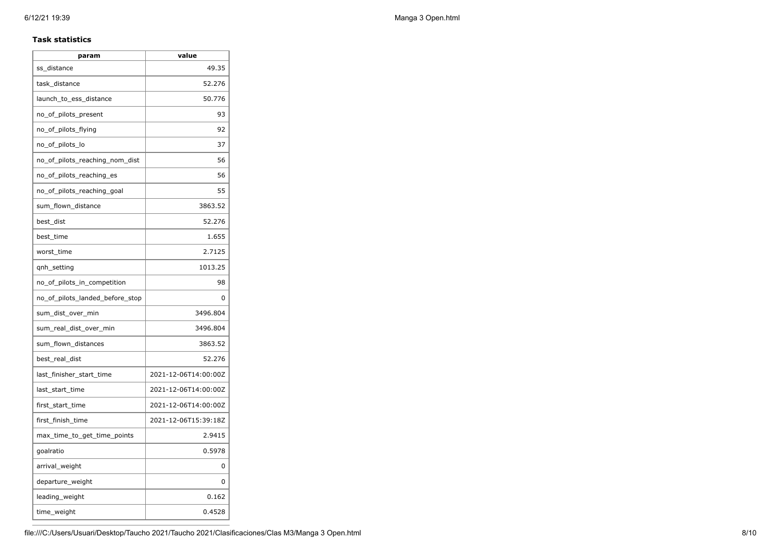### **Task statistics**

| ss distance                     | 49.35                |
|---------------------------------|----------------------|
| task distance                   | 52.276               |
| launch_to_ess_distance          | 50.776               |
| no_of_pilots_present            | 93                   |
| no_of_pilots_flying             | 92                   |
| no_of_pilots_lo                 | 37                   |
| no_of_pilots_reaching_nom_dist  | 56                   |
| no_of_pilots_reaching_es        | 56                   |
| no_of_pilots_reaching_goal      | 55                   |
| sum_flown_distance              | 3863.52              |
| best_dist                       | 52.276               |
| best time                       | 1.655                |
| worst_time                      | 2.7125               |
| qnh_setting                     | 1013.25              |
| no_of_pilots_in_competition     | 98                   |
| no of pilots landed before stop | 0                    |
| sum_dist_over_min               | 3496.804             |
| sum_real_dist_over_min          | 3496.804             |
| sum_flown_distances             | 3863.52              |
| best_real_dist                  | 52.276               |
| last_finisher_start_time        | 2021-12-06T14:00:00Z |
| last_start_time                 | 2021-12-06T14:00:00Z |
| first_start_time                | 2021-12-06T14:00:00Z |
| first_finish_time               | 2021-12-06T15:39:18Z |
| max_time_to_get_time_points     | 2.9415               |
| goalratio                       | 0.5978               |
| arrival_weight                  | 0                    |
| departure_weight                | $\Omega$             |
| leading_weight                  | 0.162                |
| time_weight                     | 0.4528               |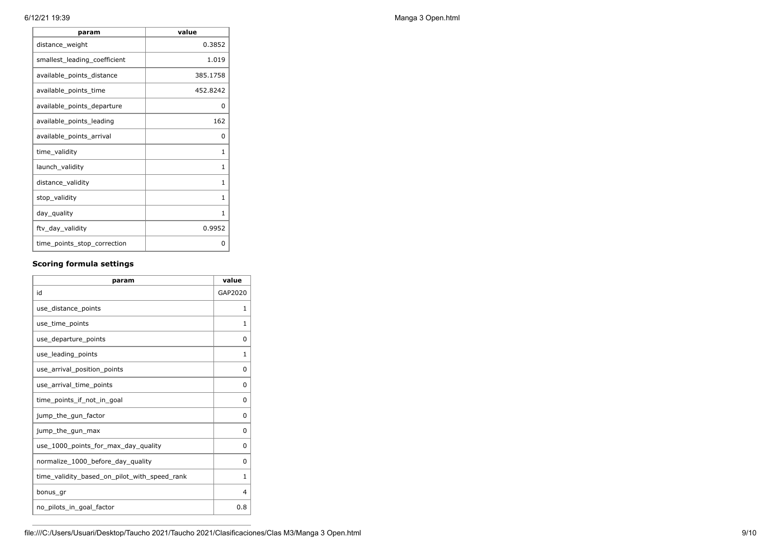| param                        | value    |
|------------------------------|----------|
| distance_weight              | 0.3852   |
| smallest_leading_coefficient | 1.019    |
| available_points_distance    | 385.1758 |
| available_points_time        | 452.8242 |
| available_points_departure   | 0        |
| available_points_leading     | 162      |
| available_points_arrival     | 0        |
| time_validity                | 1        |
| launch_validity              | 1        |
| distance_validity            | 1        |
| stop_validity                | 1        |
| day_quality                  | 1        |
| ftv_day_validity             | 0.9952   |
| time_points_stop_correction  | 0        |

## **Scoring formula settings**

| param                                        | value    |
|----------------------------------------------|----------|
| id                                           | GAP2020  |
| use_distance_points                          | 1        |
| use time points                              | 1        |
| use_departure_points                         | 0        |
| use_leading_points                           | 1        |
| use arrival position points                  | $\Omega$ |
| use_arrival_time_points                      | 0        |
| time points if not in goal                   | 0        |
| jump_the_gun_factor                          | $\Omega$ |
| jump_the_gun_max                             | $\Omega$ |
| use_1000_points_for_max_day_quality          | $\Omega$ |
| normalize_1000_before_day_quality            | $\Omega$ |
| time_validity_based_on_pilot_with_speed_rank | 1        |
| bonus_gr                                     | 4        |
| no_pilots_in_goal_factor                     | 0.8      |

6/12/21 19:39 Manga 3 Open.html